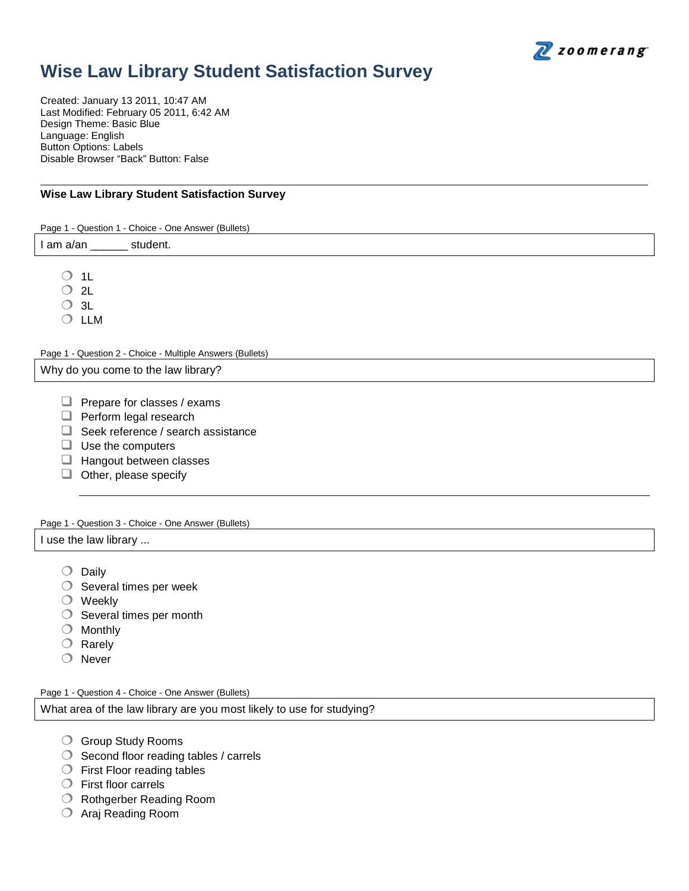

# **Wise Law Library Student Satisfaction Survey**

Created: January 13 2011, 10:47 AM Last Modified: February 05 2011, 6:42 AM Design Theme: Basic Blue Language: English Button Options: Labels Disable Browser "Back" Button: False

# **Wise Law Library Student Satisfaction Survey**

Page 1 - Question 1 - Choice - One Answer (Bullets)

I am a/an student.  $\bigcirc$  1L  $O$  2L  $O$  3L O LLM Page 1 - Question 2 - Choice - Multiple Answers (Bullets) Why do you come to the law library?

- $\Box$  Prepare for classes / exams
- $\Box$  Perform legal research
- $\Box$  Seek reference / search assistance
- $\Box$  Use the computers
- $\Box$  Hangout between classes
- $\Box$  Other, please specify

Page 1 - Question 3 - Choice - One Answer (Bullets)

I use the law library ...

- $\bigcirc$  Daily
- $\bigcirc$  Several times per week
- Weekly
- $\bigcirc$  Several times per month
- $\bigcirc$  Monthly
- $\bigcirc$  Rarely
- O Never

Page 1 - Question 4 - Choice - One Answer (Bullets)

What area of the law library are you most likely to use for studying?

- O Group Study Rooms
- $\bigcirc$  Second floor reading tables / carrels
- $\bigcirc$  First Floor reading tables
- First floor carrels
- O Rothgerber Reading Room
- Araj Reading Room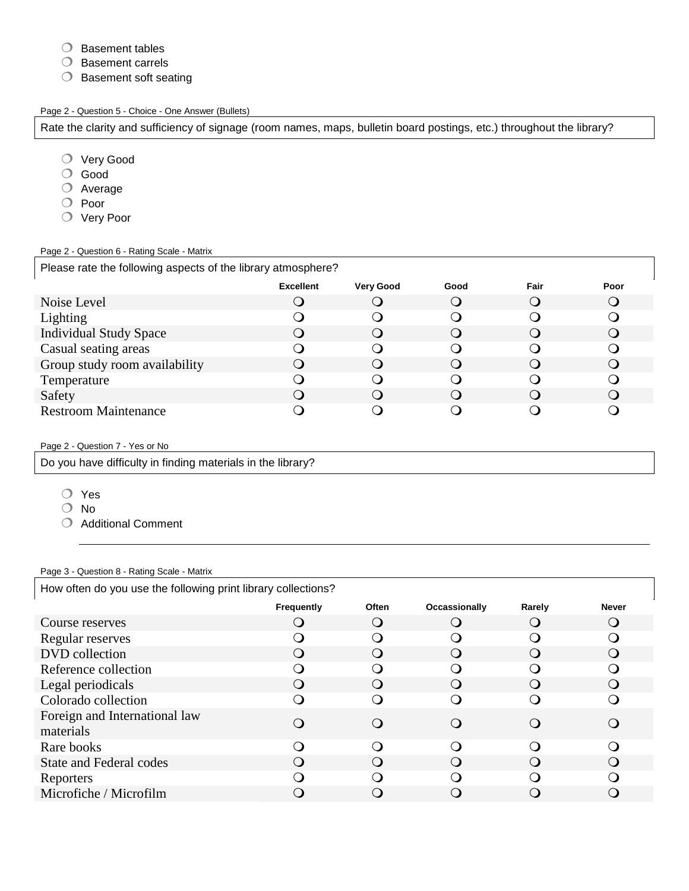- $\bigcirc$  Basement tables
- $\bigcirc$  Basement carrels
- $\bigcirc$  Basement soft seating

# Page 2 - Question 5 - Choice - One Answer (Bullets)

Rate the clarity and sufficiency of signage (room names, maps, bulletin board postings, etc.) throughout the library?

- O Very Good
- Good
- O Average
- O Poor
- O Very Poor

# Page 2 - Question 6 - Rating Scale - Matrix

Please rate the following aspects of the library atmosphere?

|                               | <b>Excellent</b> | <b>Very Good</b> | Good | Fair             | Poor |
|-------------------------------|------------------|------------------|------|------------------|------|
| Noise Level                   |                  |                  |      | $\bigcirc$       | Q    |
| Lighting                      |                  |                  |      |                  |      |
| <b>Individual Study Space</b> |                  |                  |      | $\left( \right)$ |      |
| Casual seating areas          |                  |                  |      |                  |      |
| Group study room availability |                  |                  |      | ()               |      |
| Temperature                   |                  |                  |      |                  |      |
| Safety                        |                  |                  |      |                  |      |
| <b>Restroom Maintenance</b>   |                  |                  |      |                  |      |

# Page 2 - Question 7 - Yes or No

Do you have difficulty in finding materials in the library?

Yes

O No

Additional Comment

# Page 3 - Question 8 - Rating Scale - Matrix

How often do you use the following print library collections?

|                                            | Frequently | Often | Occassionally    | Rarely                 | <b>Never</b>     |
|--------------------------------------------|------------|-------|------------------|------------------------|------------------|
| Course reserves                            |            |       |                  |                        |                  |
| Regular reserves                           |            |       |                  |                        |                  |
| DVD collection                             |            |       |                  | $\bigcap$              | $\left( \right)$ |
| Reference collection                       |            |       |                  |                        |                  |
| Legal periodicals                          |            |       | $\bigcap$        | $\left( \right)$       | $\Omega$         |
| Colorado collection                        |            |       |                  |                        |                  |
| Foreign and International law<br>materials |            |       |                  |                        |                  |
| Rare books                                 |            |       |                  | ∩                      |                  |
| <b>State and Federal codes</b>             |            |       | $\left( \right)$ | $\left( \quad \right)$ |                  |
| Reporters                                  |            |       |                  |                        |                  |
| Microfiche / Microfilm                     |            |       |                  |                        |                  |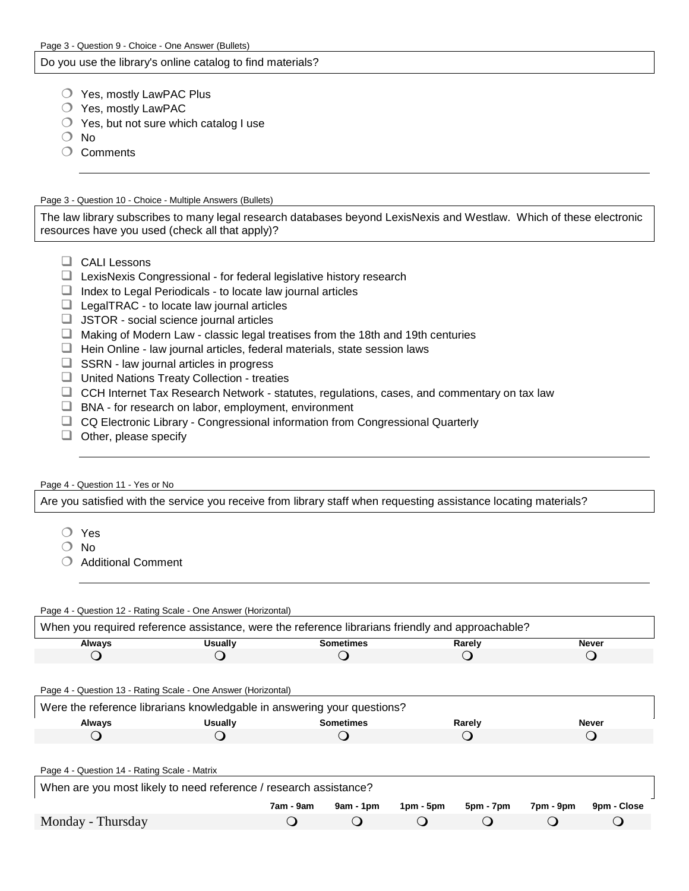Page 3 - Question 9 - Choice - One Answer (Bullets)

### Do you use the library's online catalog to find materials?

- Yes, mostly LawPAC Plus
- Yes, mostly LawPAC
- Yes, but not sure which catalog I use
- O No
- O Comments

## Page 3 - Question 10 - Choice - Multiple Answers (Bullets)

The law library subscribes to many legal research databases beyond LexisNexis and Westlaw. Which of these electronic resources have you used (check all that apply)?

- CALI Lessons
- □ LexisNexis Congressional for federal legislative history research
- $\Box$  Index to Legal Periodicals to locate law journal articles
- $\Box$  LegalTRAC to locate law journal articles
- $\Box$  JSTOR social science journal articles
- $\Box$  Making of Modern Law classic legal treatises from the 18th and 19th centuries
- $\Box$  Hein Online law journal articles, federal materials, state session laws
- $\Box$  SSRN law journal articles in progress
- □ United Nations Treaty Collection treaties
- CCH Internet Tax Research Network statutes, regulations, cases, and commentary on tax law
- □ BNA for research on labor, employment, environment
- □ CQ Electronic Library Congressional information from Congressional Quarterly
- $\Box$  Other, please specify

# Page 4 - Question 11 - Yes or No

Are you satisfied with the service you receive from library staff when requesting assistance locating materials?

- Yes
- $\bigcap$  No
- Additional Comment

| Page 4 - Question 12 - Rating Scale - One Answer (Horizontal)                                    |                |           |                  |                 |           |           |              |
|--------------------------------------------------------------------------------------------------|----------------|-----------|------------------|-----------------|-----------|-----------|--------------|
| When you required reference assistance, were the reference librarians friendly and approachable? |                |           |                  |                 |           |           |              |
| Always                                                                                           | <b>Usually</b> |           | <b>Sometimes</b> | Rarely<br>Never |           |           |              |
|                                                                                                  |                |           |                  |                 |           |           |              |
| Page 4 - Question 13 - Rating Scale - One Answer (Horizontal)                                    |                |           |                  |                 |           |           |              |
| Were the reference librarians knowledgable in answering your questions?                          |                |           |                  |                 |           |           |              |
|                                                                                                  |                |           |                  |                 |           |           |              |
| Always                                                                                           | <b>Usually</b> |           | <b>Sometimes</b> |                 | Rarely    |           | <b>Never</b> |
|                                                                                                  |                |           |                  |                 |           |           |              |
| Page 4 - Question 14 - Rating Scale - Matrix                                                     |                |           |                  |                 |           |           |              |
| When are you most likely to need reference / research assistance?                                |                |           |                  |                 |           |           |              |
|                                                                                                  |                | 7am - 9am | $9am - 1pm$      | $1pm - 5pm$     | 5pm - 7pm | 7pm - 9pm | 9pm - Close  |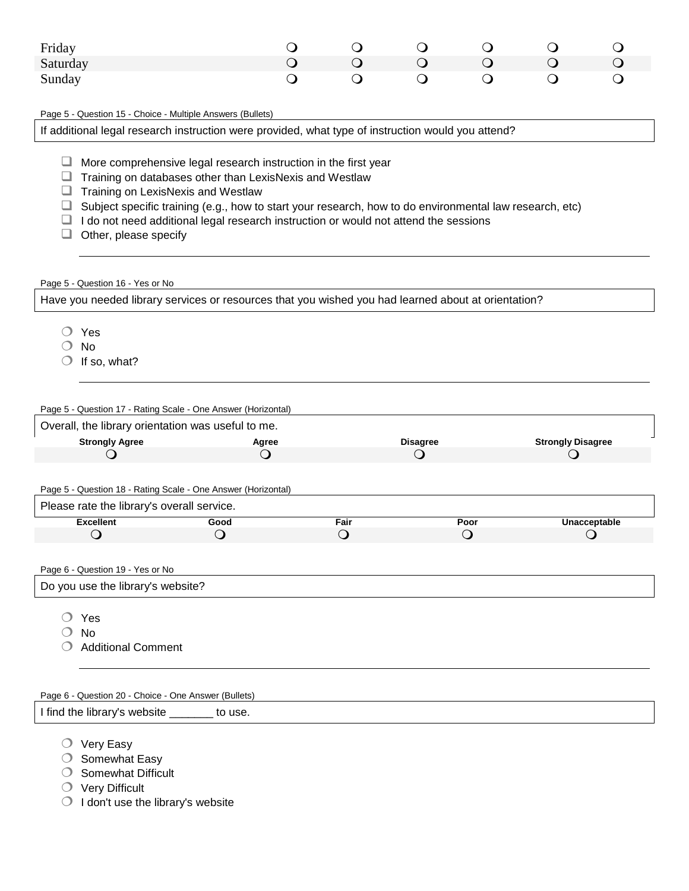| Friday   |                | $\bigcirc$               | $\overline{Q}$      |          |  |
|----------|----------------|--------------------------|---------------------|----------|--|
| Saturday | $\overline{Q}$ | $\overline{\phantom{0}}$ | $\bullet$ $\bullet$ | <b>O</b> |  |
| Sunday   | $\bullet$      | $\overline{Q}$           | $\bullet$           |          |  |

#### Page 5 - Question 15 - Choice - Multiple Answers (Bullets)

If additional legal research instruction were provided, what type of instruction would you attend?

- $\Box$  More comprehensive legal research instruction in the first year
- $\Box$  Training on databases other than LexisNexis and Westlaw
- $\Box$  Training on LexisNexis and Westlaw
- $\Box$  Subject specific training (e.g., how to start your research, how to do environmental law research, etc)
- $\Box$  I do not need additional legal research instruction or would not attend the sessions
- $\Box$  Other, please specify

Page 5 - Question 16 - Yes or No

Have you needed library services or resources that you wished you had learned about at orientation?

- Yes
- No
- $\bigcirc$  If so, what?

| Page 5 - Question 17 - Rating Scale - One Answer (Horizontal) |       |      |                 |                          |  |  |  |
|---------------------------------------------------------------|-------|------|-----------------|--------------------------|--|--|--|
| Overall, the library orientation was useful to me.            |       |      |                 |                          |  |  |  |
| <b>Strongly Agree</b>                                         | Agree |      | <b>Disagree</b> | <b>Strongly Disagree</b> |  |  |  |
|                                                               |       |      |                 |                          |  |  |  |
|                                                               |       |      |                 |                          |  |  |  |
| Page 5 - Question 18 - Rating Scale - One Answer (Horizontal) |       |      |                 |                          |  |  |  |
| Please rate the library's overall service.                    |       |      |                 |                          |  |  |  |
| <b>Excellent</b>                                              | Good  | Fair | Poor            | Unacceptable             |  |  |  |
|                                                               |       |      |                 |                          |  |  |  |
|                                                               |       |      |                 |                          |  |  |  |
| Page 6 - Question 19 - Yes or No                              |       |      |                 |                          |  |  |  |
| Do you use the library's website?                             |       |      |                 |                          |  |  |  |
|                                                               |       |      |                 |                          |  |  |  |
|                                                               |       |      |                 |                          |  |  |  |

- Yes
- O No
- Additional Comment

#### Page 6 - Question 20 - Choice - One Answer (Bullets)

I find the library's website to use.

- O Very Easy
- $\bigcirc$  Somewhat Easy
- O Somewhat Difficult
- Very Difficult
- $\bigcirc$  I don't use the library's website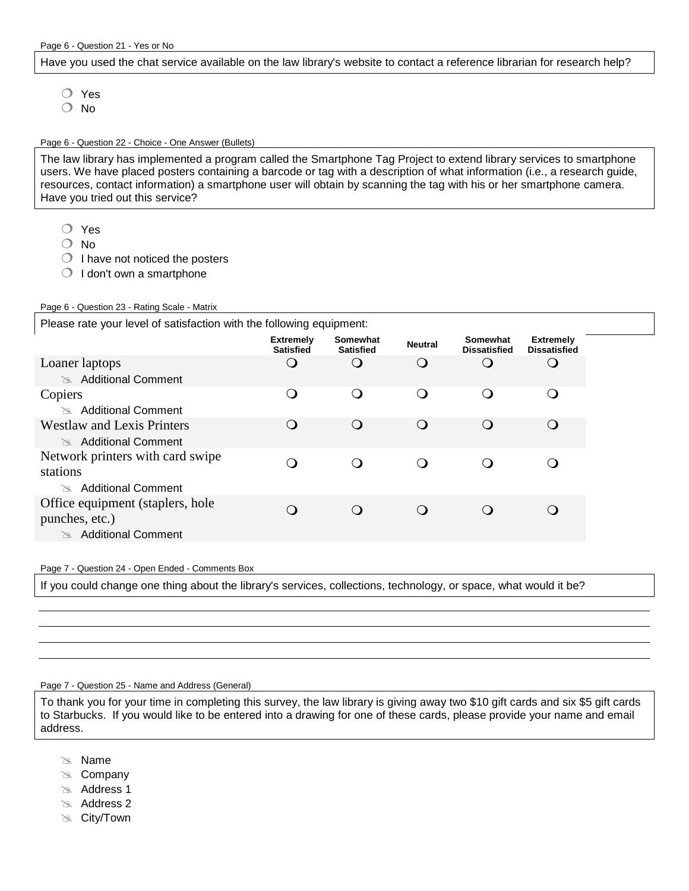Have you used the chat service available on the law library's website to contact a reference librarian for research help?

- Yes
- No

#### Page 6 - Question 22 - Choice - One Answer (Bullets)

The law library has implemented a program called the Smartphone Tag Project to extend library services to smartphone users. We have placed posters containing a barcode or tag with a description of what information (i.e., a research guide, resources, contact information) a smartphone user will obtain by scanning the tag with his or her smartphone camera. Have you tried out this service?

- Yes
- $\bigcirc$  No
- $\bigcirc$  I have not noticed the posters
- $\bigcirc$  I don't own a smartphone

Page 6 - Question 23 - Rating Scale - Matrix

Please rate your level of satisfaction with the following equipment:

|                                           | <b>Extremely</b><br><b>Satisfied</b> | Somewhat<br><b>Satisfied</b> | <b>Neutral</b> | Somewhat<br><b>Dissatisfied</b> | <b>Extremely</b><br><b>Dissatisfied</b> |
|-------------------------------------------|--------------------------------------|------------------------------|----------------|---------------------------------|-----------------------------------------|
| Loaner laptops                            | Q                                    | $\bigcirc$                   | Q              | Ő                               | $\circ$                                 |
| Additional Comment                        |                                      |                              |                |                                 |                                         |
| Copiers                                   | Q                                    | Q                            | Ω              | Ω                               | $\Omega$                                |
| Additional Comment                        |                                      |                              |                |                                 |                                         |
| <b>Westlaw and Lexis Printers</b>         | $\Omega$                             | $\bigcirc$                   | $\bigcirc$     | $\bigcirc$                      | $\circ$                                 |
| Additional Comment                        |                                      |                              |                |                                 |                                         |
| Network printers with card swipe          |                                      | $\Omega$                     | $\circ$        | $\Omega$                        | $\Omega$                                |
| stations                                  |                                      |                              |                |                                 |                                         |
| <b>Additional Comment</b><br>$\mathbb{R}$ |                                      |                              |                |                                 |                                         |
| Office equipment (staplers, hole          | ∩                                    | ∩                            | $\Omega$       | $\Omega$                        | ∩                                       |
| punches, etc.)                            |                                      |                              |                |                                 |                                         |
| Additional Comment                        |                                      |                              |                |                                 |                                         |

### Page 7 - Question 24 - Open Ended - Comments Box

If you could change one thing about the library's services, collections, technology, or space, what would it be?

#### Page 7 - Question 25 - Name and Address (General)

To thank you for your time in completing this survey, the law library is giving away two \$10 gift cards and six \$5 gift cards to Starbucks. If you would like to be entered into a drawing for one of these cards, please provide your name and email address.

- **Name**
- **EX** Company
- **Address 1**
- **Address 2**
- **Solution** City/Town